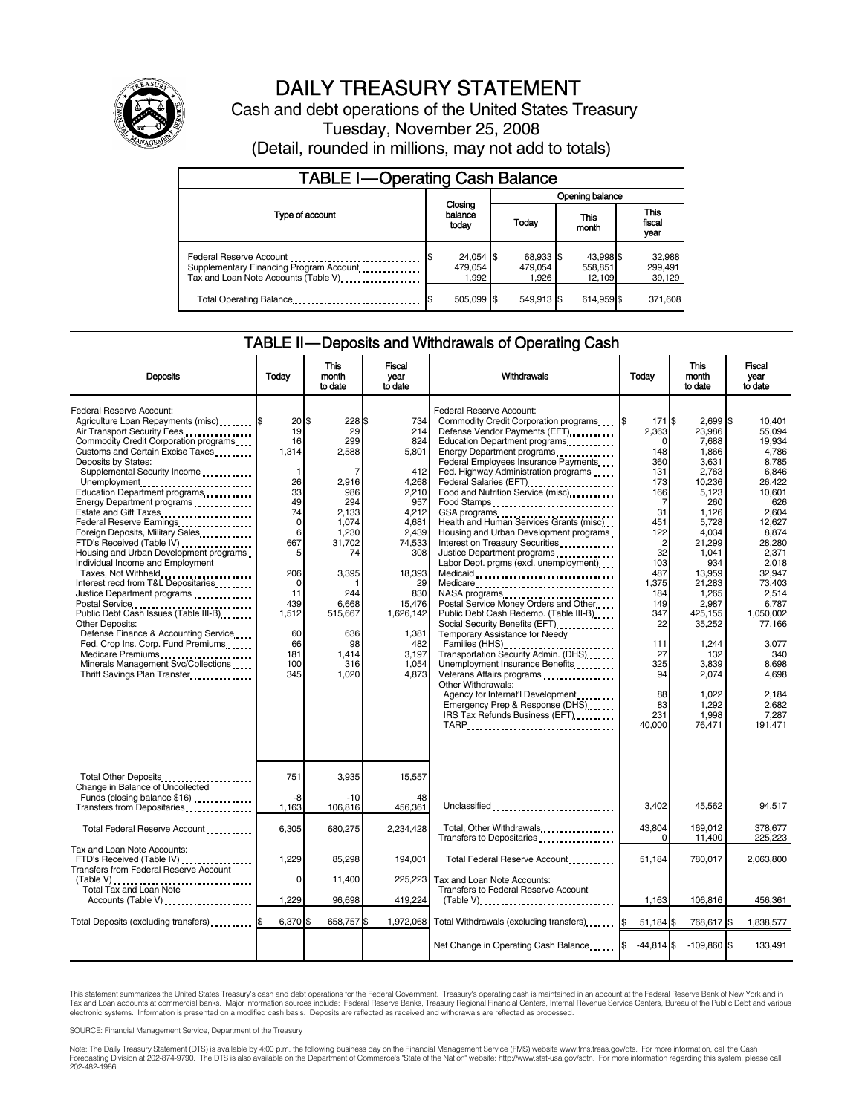

# DAILY TREASURY STATEMENT

Cash and debt operations of the United States Treasury Tuesday, November 25, 2008 (Detail, rounded in millions, may not add to totals)

| <b>TABLE I-Operating Cash Balance</b>                                                                      |                               |                               |                                |                               |  |
|------------------------------------------------------------------------------------------------------------|-------------------------------|-------------------------------|--------------------------------|-------------------------------|--|
|                                                                                                            |                               | Opening balance               |                                |                               |  |
| Type of account                                                                                            | Closing<br>balance<br>today   | Today                         | This<br>month                  | <b>This</b><br>fiscal<br>year |  |
| Federal Reserve Account<br>Supplementary Financing Program Account<br>Tax and Loan Note Accounts (Table V) | 24,054 \$<br>479.054<br>1.992 | 68,933 \$<br>479,054<br>1.926 | 43,998 \$<br>558,851<br>12.109 | 32,988<br>299,491<br>39,129   |  |
| Total Operating Balance                                                                                    | 505,099 \$                    | 549.913 \$                    | 614.959 \$                     | 371,608                       |  |

#### TABLE II — Deposits and Withdrawals of Operating Cash

| <b>Deposits</b>                                                                                                                                                                                                                                                                                                                                                                                                                                                                                                                                                                                                                                                                                                                                                                                                                                                       | Todav                                                                                                                                                                             | This<br>month<br>to date                                                                                                                                                      | Fiscal<br>year<br>to date                                                                                                                                                                       | Withdrawals                                                                                                                                                                                                                                                                                                                                                                                                                                                                                                                                                                                                                                                                                                                                                                                                                                                                                                       | Today                                                                                                                                                                                                                           | <b>This</b><br>month<br>to date                                                                                                                                                                                                                                           | Fiscal<br>vear<br>to date                                                                                                                                                                                                                                                     |
|-----------------------------------------------------------------------------------------------------------------------------------------------------------------------------------------------------------------------------------------------------------------------------------------------------------------------------------------------------------------------------------------------------------------------------------------------------------------------------------------------------------------------------------------------------------------------------------------------------------------------------------------------------------------------------------------------------------------------------------------------------------------------------------------------------------------------------------------------------------------------|-----------------------------------------------------------------------------------------------------------------------------------------------------------------------------------|-------------------------------------------------------------------------------------------------------------------------------------------------------------------------------|-------------------------------------------------------------------------------------------------------------------------------------------------------------------------------------------------|-------------------------------------------------------------------------------------------------------------------------------------------------------------------------------------------------------------------------------------------------------------------------------------------------------------------------------------------------------------------------------------------------------------------------------------------------------------------------------------------------------------------------------------------------------------------------------------------------------------------------------------------------------------------------------------------------------------------------------------------------------------------------------------------------------------------------------------------------------------------------------------------------------------------|---------------------------------------------------------------------------------------------------------------------------------------------------------------------------------------------------------------------------------|---------------------------------------------------------------------------------------------------------------------------------------------------------------------------------------------------------------------------------------------------------------------------|-------------------------------------------------------------------------------------------------------------------------------------------------------------------------------------------------------------------------------------------------------------------------------|
| Federal Reserve Account:<br>Agriculture Loan Repayments (misc) \$<br>Air Transport Security Fees<br>Commodity Credit Corporation programs<br>Customs and Certain Excise Taxes<br>Deposits by States:<br>Supplemental Security Income<br>Unemployment<br>Education Department programs<br>Energy Department programs<br>Estate and Gift Taxes<br>Federal Reserve Earnings<br>Foreign Deposits, Military Sales<br>FTD's Received (Table IV)<br>Housing and Urban Development programs<br>Individual Income and Employment<br>Taxes, Not Withheld<br>Interest recd from T&L Depositaries<br>Justice Department programs<br><br>Public Debt Cash Issues (Table III-B)<br><b>Other Deposits:</b><br>Defense Finance & Accounting Service<br>Fed. Crop Ins. Corp. Fund Premiums<br>Medicare Premiums<br>Minerals Management Svc/Collections<br>Thrift Savings Plan Transfer | $20$ \$<br>19<br>16<br>1,314<br>$\mathbf{1}$<br>26<br>33<br>49<br>74<br>$\mathbf 0$<br>6<br>667<br>5<br>206<br>$\mathbf 0$<br>11<br>439<br>1,512<br>60<br>66<br>181<br>100<br>345 | 228 \$<br>29<br>299<br>2,588<br>7<br>2,916<br>986<br>294<br>2.133<br>1.074<br>1,230<br>31,702<br>74<br>3.395<br>244<br>6,668<br>515,667<br>636<br>98<br>1,414<br>316<br>1,020 | 734<br>214<br>824<br>5,801<br>412<br>4,268<br>2,210<br>957<br>4.212<br>4.681<br>2,439<br>74,533<br>308<br>18,393<br>29<br>830<br>15,476<br>1,626,142<br>1.381<br>482<br>3,197<br>1.054<br>4,873 | Federal Reserve Account:<br>Commodity Credit Corporation programs<br>Defense Vendor Payments (EFT)<br>Education Department programs<br>Federal Employees Insurance Payments<br>Fed. Highway Administration programs<br>Federal Salaries (EFT)<br>Food and Nutrition Service (misc)<br>Food Stamps<br>Health and Human Services Grants (misc)<br>Housing and Urban Development programs<br>Interest on Treasury Securities<br>Justice Department programs<br>Labor Dept. prgms (excl. unemployment)<br>Medicaid<br>Medicare<br>Postal Service Money Orders and Other<br>Public Debt Cash Redemp. (Table III-B)<br>Temporary Assistance for Needy<br>Families (HHS)<br>Transportation Security Admin. (DHS)<br>Unemployment Insurance Benefits<br>Veterans Affairs programs<br>Other Withdrawals:<br>Agency for Internat'l Development<br>Emergency Prep & Response (DHS)<br>IRS Tax Refunds Business (EFT)<br>TARP | 171 \$<br>l\$<br>2,363<br>$\Omega$<br>148<br>360<br>131<br>173<br>166<br>7<br>31<br>451<br>122<br>$\overline{2}$<br>32<br>103<br>487<br>1.375<br>184<br>149<br>347<br>22<br>111<br>27<br>325<br>94<br>88<br>83<br>231<br>40.000 | $2,699$ \$<br>23,986<br>7,688<br>1,866<br>3.631<br>2.763<br>10,236<br>5,123<br>260<br>1,126<br>5.728<br>4,034<br>21,299<br>1,041<br>934<br>13.959<br>21.283<br>1,265<br>2.987<br>425.155<br>35,252<br>1,244<br>132<br>3,839<br>2,074<br>1.022<br>1,292<br>1,998<br>76.471 | 10,401<br>55.094<br>19,934<br>4.786<br>8.785<br>6.846<br>26,422<br>10,601<br>626<br>2.604<br>12.627<br>8,874<br>28,280<br>2,371<br>2.018<br>32.947<br>73.403<br>2,514<br>6.787<br>1.050.002<br>77.166<br>3,077<br>340<br>8.698<br>4.698<br>2.184<br>2.682<br>7,287<br>191,471 |
| Total Other Deposits<br>Change in Balance of Uncollected                                                                                                                                                                                                                                                                                                                                                                                                                                                                                                                                                                                                                                                                                                                                                                                                              | 751                                                                                                                                                                               | 3,935                                                                                                                                                                         | 15,557                                                                                                                                                                                          |                                                                                                                                                                                                                                                                                                                                                                                                                                                                                                                                                                                                                                                                                                                                                                                                                                                                                                                   |                                                                                                                                                                                                                                 |                                                                                                                                                                                                                                                                           |                                                                                                                                                                                                                                                                               |
| Funds (closing balance \$16)                                                                                                                                                                                                                                                                                                                                                                                                                                                                                                                                                                                                                                                                                                                                                                                                                                          | -8<br>1,163                                                                                                                                                                       | $-10$<br>106,816                                                                                                                                                              | 48<br>456,361                                                                                                                                                                                   | Unclassified                                                                                                                                                                                                                                                                                                                                                                                                                                                                                                                                                                                                                                                                                                                                                                                                                                                                                                      | 3.402                                                                                                                                                                                                                           | 45.562                                                                                                                                                                                                                                                                    | 94.517                                                                                                                                                                                                                                                                        |
| Total Federal Reserve Account                                                                                                                                                                                                                                                                                                                                                                                                                                                                                                                                                                                                                                                                                                                                                                                                                                         | 6,305                                                                                                                                                                             | 680,275                                                                                                                                                                       | 2,234,428                                                                                                                                                                                       | Total, Other Withdrawals<br>Transfers to Depositaries                                                                                                                                                                                                                                                                                                                                                                                                                                                                                                                                                                                                                                                                                                                                                                                                                                                             | 43,804<br>$\Omega$                                                                                                                                                                                                              | 169,012<br>11,400                                                                                                                                                                                                                                                         | 378,677<br>225,223                                                                                                                                                                                                                                                            |
| Tax and Loan Note Accounts:<br>FTD's Received (Table IV)<br><b>Transfers from Federal Reserve Account</b>                                                                                                                                                                                                                                                                                                                                                                                                                                                                                                                                                                                                                                                                                                                                                             | 1,229                                                                                                                                                                             | 85,298                                                                                                                                                                        | 194,001                                                                                                                                                                                         | Total Federal Reserve Account                                                                                                                                                                                                                                                                                                                                                                                                                                                                                                                                                                                                                                                                                                                                                                                                                                                                                     | 51,184                                                                                                                                                                                                                          | 780,017                                                                                                                                                                                                                                                                   | 2,063,800                                                                                                                                                                                                                                                                     |
| Total Tax and Loan Note                                                                                                                                                                                                                                                                                                                                                                                                                                                                                                                                                                                                                                                                                                                                                                                                                                               | 0                                                                                                                                                                                 | 11,400                                                                                                                                                                        | 225,223                                                                                                                                                                                         | Tax and Loan Note Accounts:<br>Transfers to Federal Reserve Account                                                                                                                                                                                                                                                                                                                                                                                                                                                                                                                                                                                                                                                                                                                                                                                                                                               |                                                                                                                                                                                                                                 |                                                                                                                                                                                                                                                                           |                                                                                                                                                                                                                                                                               |
| Accounts (Table V)                                                                                                                                                                                                                                                                                                                                                                                                                                                                                                                                                                                                                                                                                                                                                                                                                                                    | 1,229                                                                                                                                                                             | 96,698                                                                                                                                                                        | 419,224                                                                                                                                                                                         | $(Table V)$ ,                                                                                                                                                                                                                                                                                                                                                                                                                                                                                                                                                                                                                                                                                                                                                                                                                                                                                                     | 1,163                                                                                                                                                                                                                           | 106,816                                                                                                                                                                                                                                                                   | 456,361                                                                                                                                                                                                                                                                       |
| Total Deposits (excluding transfers)                                                                                                                                                                                                                                                                                                                                                                                                                                                                                                                                                                                                                                                                                                                                                                                                                                  | 6,370 \$                                                                                                                                                                          | 658,757\$                                                                                                                                                                     | 1,972,068                                                                                                                                                                                       | Total Withdrawals (excluding transfers) [\$                                                                                                                                                                                                                                                                                                                                                                                                                                                                                                                                                                                                                                                                                                                                                                                                                                                                       | 51,184 \$                                                                                                                                                                                                                       | 768,617 \$                                                                                                                                                                                                                                                                | 1,838,577                                                                                                                                                                                                                                                                     |
|                                                                                                                                                                                                                                                                                                                                                                                                                                                                                                                                                                                                                                                                                                                                                                                                                                                                       |                                                                                                                                                                                   |                                                                                                                                                                               |                                                                                                                                                                                                 | Net Change in Operating Cash Balance                                                                                                                                                                                                                                                                                                                                                                                                                                                                                                                                                                                                                                                                                                                                                                                                                                                                              | $-44.814$ \$                                                                                                                                                                                                                    | $-109,860$ \$                                                                                                                                                                                                                                                             | 133,491                                                                                                                                                                                                                                                                       |

This statement summarizes the United States Treasury's cash and debt operations for the Federal Government. Treasury's operating cash is maintained in an account at the Federal Reserve Bank of New York and in<br>Tax and Loan

SOURCE: Financial Management Service, Department of the Treasury

Note: The Daily Treasury Statement (DTS) is available by 4:00 p.m. the following business day on the Financial Management Service (FMS) website www.fms.treas.gov/dts. For more information, call the Cash<br>Forecasting Divisio eas.gov/dts. F<br>For more infor